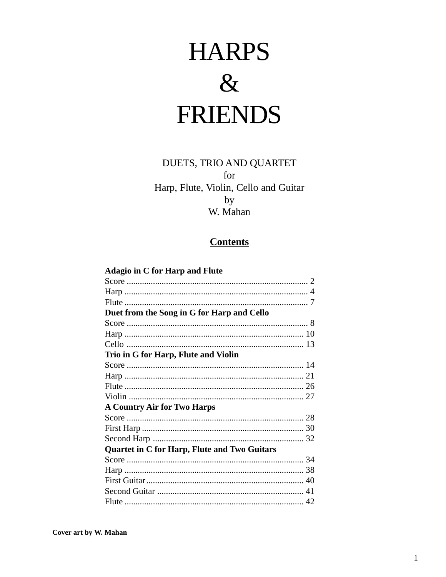# **HARPS**  $\&$ **FRIENDS**

## DUETS, TRIO AND QUARTET for Harp, Flute, Violin, Cello and Guitar by W. Mahan

#### **Contents**

| <b>Adagio in C for Harp and Flute</b>               |  |
|-----------------------------------------------------|--|
|                                                     |  |
|                                                     |  |
|                                                     |  |
| Duet from the Song in G for Harp and Cello          |  |
|                                                     |  |
|                                                     |  |
|                                                     |  |
| Trio in G for Harp, Flute and Violin                |  |
|                                                     |  |
|                                                     |  |
|                                                     |  |
|                                                     |  |
| <b>A Country Air for Two Harps</b>                  |  |
|                                                     |  |
|                                                     |  |
|                                                     |  |
| <b>Quartet in C for Harp, Flute and Two Guitars</b> |  |
|                                                     |  |
|                                                     |  |
|                                                     |  |
|                                                     |  |
|                                                     |  |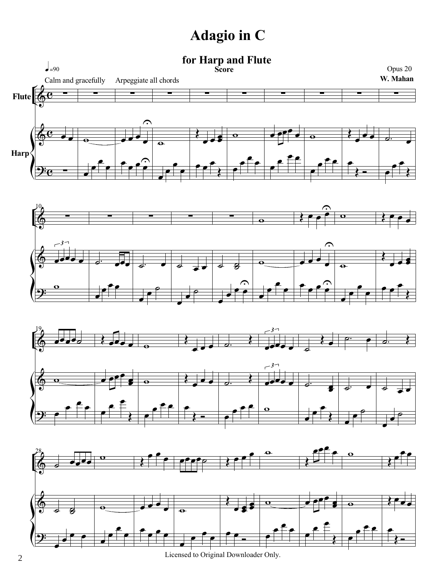# **Adagio in C**

## **for Harp and Flute**